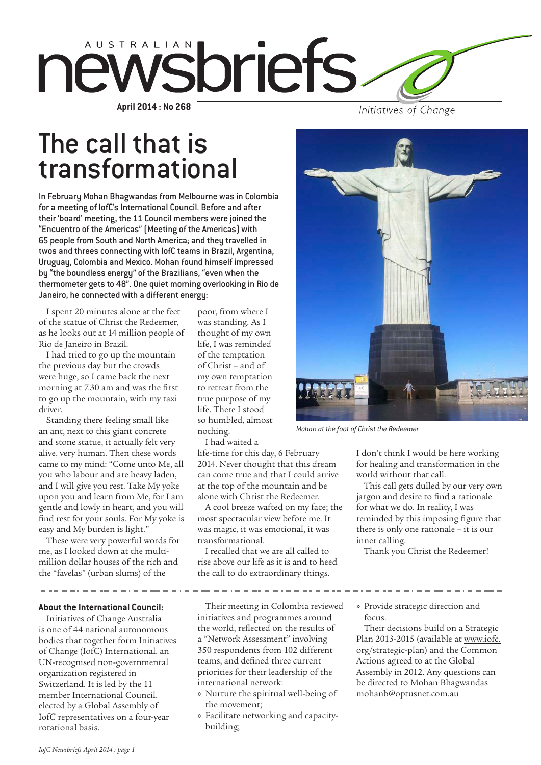

Initiatives of Change

# The call that is transformational

In February Mohan Bhagwandas from Melbourne was in Colombia for a meeting of IofC's International Council. Before and after their 'board' meeting, the 11 Council members were joined the "Encuentro of the Americas" (Meeting of the Americas) with 65 people from South and North America; and they travelled in twos and threes connecting with IofC teams in Brazil, Argentina, Uruguay, Colombia and Mexico. Mohan found himself impressed by "the boundless energy" of the Brazilians, "even when the thermometer gets to 48". One quiet morning overlooking in Rio de Janeiro, he connected with a different energy:

I spent 20 minutes alone at the feet of the statue of Christ the Redeemer, as he looks out at 14 million people of Rio de Janeiro in Brazil.

I had tried to go up the mountain the previous day but the crowds were huge, so I came back the next morning at 7.30 am and was the first to go up the mountain, with my taxi driver.

Standing there feeling small like an ant, next to this giant concrete and stone statue, it actually felt very alive, very human. Then these words came to my mind: "Come unto Me, all you who labour and are heavy laden, and I will give you rest. Take My yoke upon you and learn from Me, for I am gentle and lowly in heart, and you will find rest for your souls. For My yoke is easy and My burden is light."

These were very powerful words for me, as I looked down at the multimillion dollar houses of the rich and the "favelas" (urban slums) of the

**About the International Council:**

Initiatives of Change Australia is one of 44 national autonomous bodies that together form Initiatives of Change (IofC) International, an UN-recognised non-governmental organization registered in Switzerland. It is led by the 11 member International Council, elected by a Global Assembly of IofC representatives on a four-year rotational basis.

poor, from where I was standing. As I thought of my own life, I was reminded of the temptation of Christ – and of my own temptation to retreat from the true purpose of my life. There I stood so humbled, almost nothing.

I had waited a

life-time for this day, 6 February 2014. Never thought that this dream can come true and that I could arrive at the top of the mountain and be alone with Christ the Redeemer.

A cool breeze wafted on my face; the most spectacular view before me. It was magic, it was emotional, it was transformational.

I recalled that we are all called to rise above our life as it is and to heed the call to do extraordinary things.



*Mohan at the foot of Christ the Redeemer* 

I don't think I would be here working for healing and transformation in the world without that call.

This call gets dulled by our very own jargon and desire to find a rationale for what we do. In reality, I was reminded by this imposing figure that there is only one rationale – it is our inner calling.

Thank you Christ the Redeemer!

Their meeting in Colombia reviewed initiatives and programmes around the world, reflected on the results of a "Network Assessment" involving 350 respondents from 102 different teams, and defined three current priorities for their leadership of the international network:

- » Nurture the spiritual well-being of the movement;
- » Facilitate networking and capacitybuilding;

» Provide strategic direction and focus.

Their decisions build on a Strategic Plan 2013-2015 (available at [www.iofc.](http://www.iofc.org/strategic-plan) [org/strategic-plan](http://www.iofc.org/strategic-plan)) and the Common Actions agreed to at the Global Assembly in 2012. Any questions can be directed to Mohan Bhagwandas [mohanb@optusnet.com.au](mailto:mohanb@optusnet.com.au)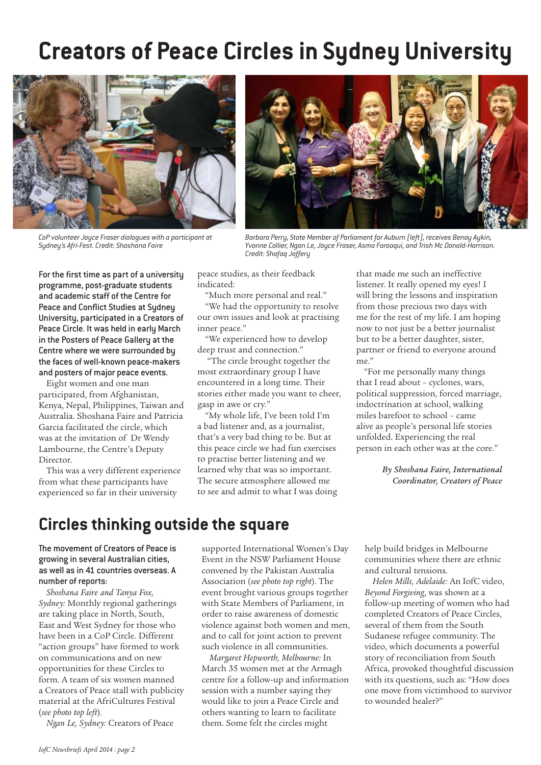# **Creators of Peace Circles in Sydney University**



*CoP volunteer Joyce Fraser dialogues with a participant at Sydney's Afri-Fest. Credit: Shoshana Faire*



*Barbara Perry, State Member of Parliament for Auburn (left), receives Benay Aykin, Yvonne Collier, Ngan Le, Joyce Fraser, Asma Farooqui, and Trish Mc Donald-Harrison. Credit: Shafaq Jaffery*

For the first time as part of a university programme, post-graduate students and academic staff of the Centre for Peace and Conflict Studies at Sydney University, participated in a Creators of Peace Circle. It was held in early March in the Posters of Peace Gallery at the Centre where we were surrounded by the faces of well-known peace-makers and posters of major peace events.

Eight women and one man participated, from Afghanistan, Kenya, Nepal, Philippines, Taiwan and Australia. Shoshana Faire and Patricia Garcia facilitated the circle, which was at the invitation of Dr Wendy Lambourne, the Centre's Deputy Director.

This was a very different experience from what these participants have experienced so far in their university

peace studies, as their feedback indicated:

"Much more personal and real."

"We had the opportunity to resolve our own issues and look at practising inner peace."

"We experienced how to develop deep trust and connection."

 "The circle brought together the most extraordinary group I have encountered in a long time. Their stories either made you want to cheer, gasp in awe or cry."

"My whole life, I've been told I'm a bad listener and, as a journalist, that's a very bad thing to be. But at this peace circle we had fun exercises to practise better listening and we learned why that was so important. The secure atmosphere allowed me to see and admit to what I was doing that made me such an ineffective listener. It really opened my eyes! I will bring the lessons and inspiration from those precious two days with me for the rest of my life. I am hoping now to not just be a better journalist but to be a better daughter, sister, partner or friend to everyone around me."

"For me personally many things that I read about – cyclones, wars, political suppression, forced marriage, indoctrination at school, walking miles barefoot to school – came alive as people's personal life stories unfolded. Experiencing the real person in each other was at the core."

> *By Shoshana Faire, International Coordinator, Creators of Peace*

## **Circles thinking outside the square**

### The movement of Creators of Peace is growing in several Australian cities, as well as in 41 countries overseas. A number of reports:

*Shoshana Faire and Tanya Fox, Sydney:* Monthly regional gatherings are taking place in North, South, East and West Sydney for those who have been in a CoP Circle. Different "action groups" have formed to work on communications and on new opportunities for these Circles to form. A team of six women manned a Creators of Peace stall with publicity material at the AfriCultures Festival (*see photo top left*).

*Ngan Le, Sydney:* Creators of Peace

supported International Women's Day Event in the NSW Parliament House convened by the Pakistan Australia Association (*see photo top right*). The event brought various groups together with State Members of Parliament, in order to raise awareness of domestic violence against both women and men, and to call for joint action to prevent such violence in all communities.

*Margaret Hepworth, Melbourne:* In March 35 women met at the Armagh centre for a follow-up and information session with a number saying they would like to join a Peace Circle and others wanting to learn to facilitate them. Some felt the circles might

help build bridges in Melbourne communities where there are ethnic and cultural tensions.

*Helen Mills, Adelaide:* An IofC video, *Beyond Forgiving*, was shown at a follow-up meeting of women who had completed Creators of Peace Circles, several of them from the South Sudanese refugee community. The video, which documents a powerful story of reconciliation from South Africa, provoked thoughtful discussion with its questions, such as: "How does one move from victimhood to survivor to wounded healer?"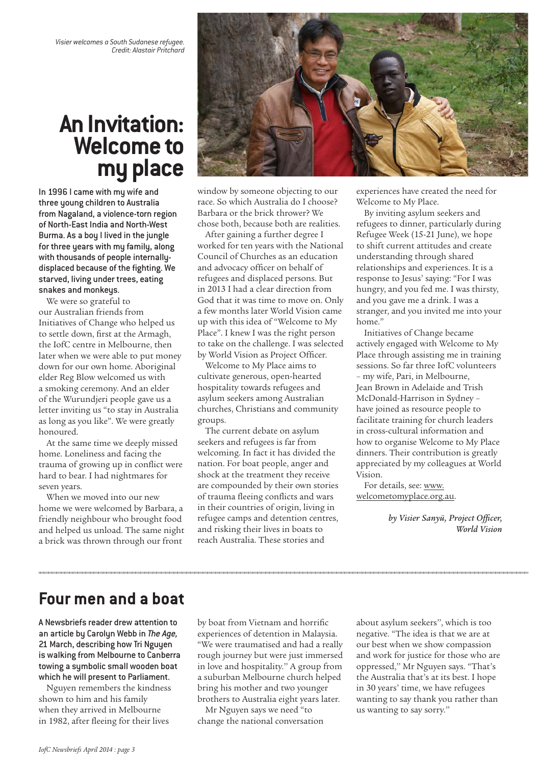*Visier welcomes a South Sudanese refugee. Credit: Alastair Pritchard*

## **An Invitation: Welcome to my place**

In 1996 I came with my wife and three young children to Australia from Nagaland, a violence-torn region of North-East India and North-West Burma. As a boy I lived in the jungle for three years with my family, along with thousands of people internallydisplaced because of the fighting. We starved, living under trees, eating snakes and monkeys.

We were so grateful to our Australian friends from Initiatives of Change who helped us to settle down, first at the Armagh, the IofC centre in Melbourne, then later when we were able to put money down for our own home. Aboriginal elder Reg Blow welcomed us with a smoking ceremony. And an elder of the Wurundjeri people gave us a letter inviting us "to stay in Australia as long as you like". We were greatly honoured.

At the same time we deeply missed home. Loneliness and facing the trauma of growing up in conflict were hard to bear. I had nightmares for seven years.

When we moved into our new home we were welcomed by Barbara, a friendly neighbour who brought food and helped us unload. The same night a brick was thrown through our front



window by someone objecting to our race. So which Australia do I choose? Barbara or the brick thrower? We chose both, because both are realities.

After gaining a further degree I worked for ten years with the National Council of Churches as an education and advocacy officer on behalf of refugees and displaced persons. But in 2013 I had a clear direction from God that it was time to move on. Only a few months later World Vision came up with this idea of "Welcome to My Place". I knew I was the right person to take on the challenge. I was selected by World Vision as Project Officer.

Welcome to My Place aims to cultivate generous, open-hearted hospitality towards refugees and asylum seekers among Australian churches, Christians and community groups.

The current debate on asylum seekers and refugees is far from welcoming. In fact it has divided the nation. For boat people, anger and shock at the treatment they receive are compounded by their own stories of trauma fleeing conflicts and wars in their countries of origin, living in refugee camps and detention centres, and risking their lives in boats to reach Australia. These stories and

experiences have created the need for Welcome to My Place.

By inviting asylum seekers and refugees to dinner, particularly during Refugee Week (15-21 June), we hope to shift current attitudes and create understanding through shared relationships and experiences. It is a response to Jesus' saying: "For I was hungry, and you fed me. I was thirsty, and you gave me a drink. I was a stranger, and you invited me into your home."

Initiatives of Change became actively engaged with Welcome to My Place through assisting me in training sessions. So far three IofC volunteers – my wife, Pari, in Melbourne, Jean Brown in Adelaide and Trish McDonald-Harrison in Sydney – have joined as resource people to facilitate training for church leaders in cross-cultural information and how to organise Welcome to My Place dinners. Their contribution is greatly appreciated by my colleagues at World Vision.

For details, see: [www.](http://www.welcometomyplace.org.au) [welcometomyplace.org.au.](http://www.welcometomyplace.org.au)

> *by Visier Sanyü, Project Officer, World Vision*

## **Four men and a boat**

A Newsbriefs reader drew attention to an article by Carolyn Webb in *The Age,* 21 March, describing how Tri Nguyen is walking from Melbourne to Canberra towing a symbolic small wooden boat which he will present to Parliament.

Nguyen remembers the kindness shown to him and his family when they arrived in Melbourne in 1982, after fleeing for their lives

by boat from Vietnam and horrific experiences of detention in Malaysia. "We were traumatised and had a really rough journey but were just immersed in love and hospitality.'' A group from a suburban Melbourne church helped bring his mother and two younger brothers to Australia eight years later.

Mr Nguyen says we need "to change the national conversation about asylum seekers'', which is too negative. "The idea is that we are at our best when we show compassion and work for justice for those who are oppressed,'' Mr Nguyen says. "That's the Australia that's at its best. I hope in 30 years' time, we have refugees wanting to say thank you rather than us wanting to say sorry.''